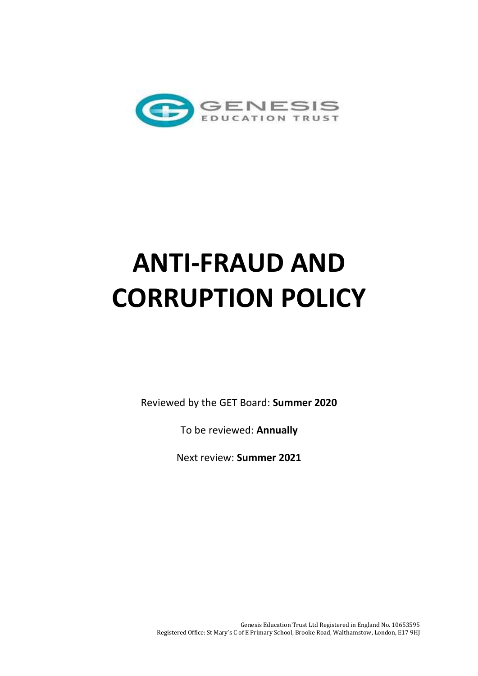

# **ANTI-FRAUD AND CORRUPTION POLICY**

Reviewed by the GET Board: **Summer 2020**

To be reviewed: **Annually**

Next review: **Summer 2021**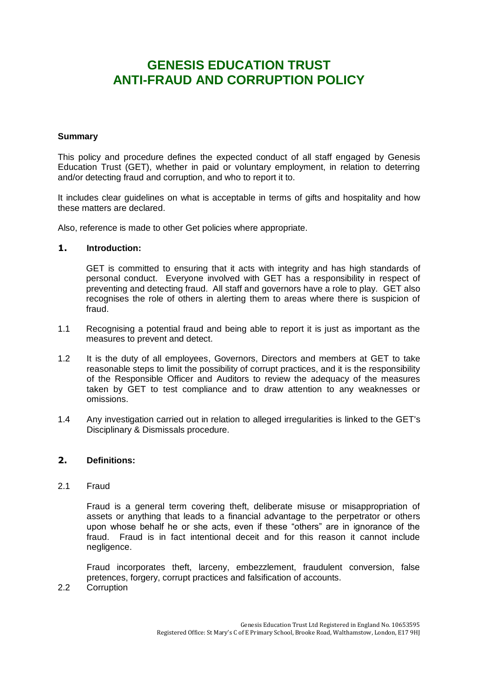# **GENESIS EDUCATION TRUST ANTI-FRAUD AND CORRUPTION POLICY**

# **Summary**

This policy and procedure defines the expected conduct of all staff engaged by Genesis Education Trust (GET), whether in paid or voluntary employment, in relation to deterring and/or detecting fraud and corruption, and who to report it to.

It includes clear guidelines on what is acceptable in terms of gifts and hospitality and how these matters are declared.

Also, reference is made to other Get policies where appropriate.

#### **1. Introduction:**

GET is committed to ensuring that it acts with integrity and has high standards of personal conduct. Everyone involved with GET has a responsibility in respect of preventing and detecting fraud. All staff and governors have a role to play. GET also recognises the role of others in alerting them to areas where there is suspicion of fraud.

- 1.1 Recognising a potential fraud and being able to report it is just as important as the measures to prevent and detect.
- 1.2 It is the duty of all employees, Governors, Directors and members at GET to take reasonable steps to limit the possibility of corrupt practices, and it is the responsibility of the Responsible Officer and Auditors to review the adequacy of the measures taken by GET to test compliance and to draw attention to any weaknesses or omissions.
- 1.4 Any investigation carried out in relation to alleged irregularities is linked to the GET's Disciplinary & Dismissals procedure.

#### **2. Definitions:**

2.1 Fraud

Fraud is a general term covering theft, deliberate misuse or misappropriation of assets or anything that leads to a financial advantage to the perpetrator or others upon whose behalf he or she acts, even if these "others" are in ignorance of the fraud. Fraud is in fact intentional deceit and for this reason it cannot include negligence.

Fraud incorporates theft, larceny, embezzlement, fraudulent conversion, false pretences, forgery, corrupt practices and falsification of accounts.

2.2 Corruption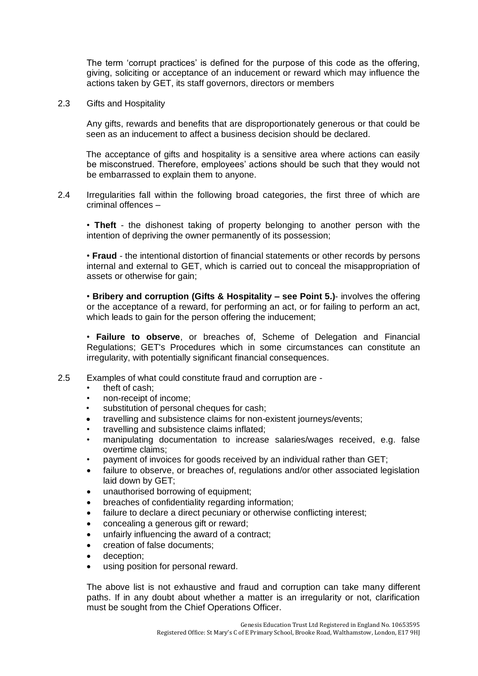The term 'corrupt practices' is defined for the purpose of this code as the offering, giving, soliciting or acceptance of an inducement or reward which may influence the actions taken by GET, its staff governors, directors or members

2.3 Gifts and Hospitality

Any gifts, rewards and benefits that are disproportionately generous or that could be seen as an inducement to affect a business decision should be declared.

The acceptance of gifts and hospitality is a sensitive area where actions can easily be misconstrued. Therefore, employees' actions should be such that they would not be embarrassed to explain them to anyone.

2.4 Irregularities fall within the following broad categories, the first three of which are criminal offences –

• **Theft** - the dishonest taking of property belonging to another person with the intention of depriving the owner permanently of its possession;

• **Fraud** - the intentional distortion of financial statements or other records by persons internal and external to GET, which is carried out to conceal the misappropriation of assets or otherwise for gain;

• **Bribery and corruption (Gifts & Hospitality – see Point 5.)**- involves the offering or the acceptance of a reward, for performing an act, or for failing to perform an act, which leads to gain for the person offering the inducement;

• **Failure to observe**, or breaches of, Scheme of Delegation and Financial Regulations; GET's Procedures which in some circumstances can constitute an irregularity, with potentially significant financial consequences.

- 2.5 Examples of what could constitute fraud and corruption are
	- theft of cash:
	- non-receipt of income;
	- substitution of personal cheques for cash;
	- travelling and subsistence claims for non-existent journeys/events;
	- travelling and subsistence claims inflated;
	- manipulating documentation to increase salaries/wages received, e.g. false overtime claims;
	- payment of invoices for goods received by an individual rather than GET;
	- failure to observe, or breaches of, regulations and/or other associated legislation laid down by GET;
	- unauthorised borrowing of equipment;
	- breaches of confidentiality regarding information;
	- failure to declare a direct pecuniary or otherwise conflicting interest;
	- concealing a generous gift or reward;
	- unfairly influencing the award of a contract;
	- creation of false documents;
	- deception;
	- using position for personal reward.

The above list is not exhaustive and fraud and corruption can take many different paths. If in any doubt about whether a matter is an irregularity or not, clarification must be sought from the Chief Operations Officer.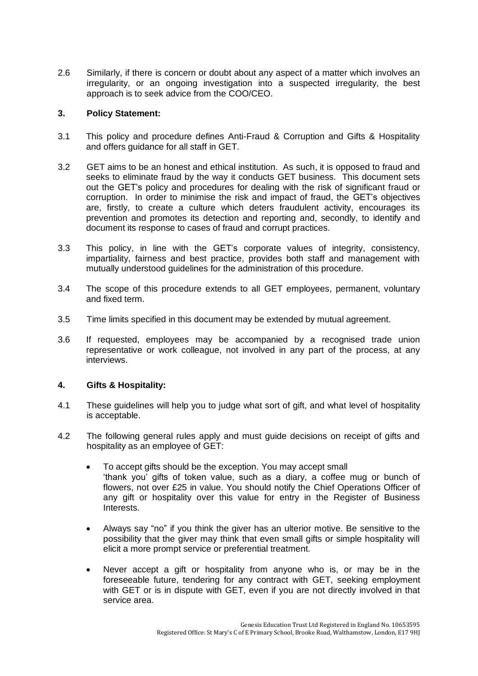2.6 Similarly, if there is concern or doubt about any aspect of a matter which involves an irregularity, or an ongoing investigation into a suspected irregularity, the best approach is to seek advice from the COO/CEO.

### **3. Policy Statement:**

- 3.1 This policy and procedure defines Anti-Fraud & Corruption and Gifts & Hospitality and offers guidance for all staff in GET.
- 3.2 GET aims to be an honest and ethical institution. As such, it is opposed to fraud and seeks to eliminate fraud by the way it conducts GET business. This document sets out the GET's policy and procedures for dealing with the risk of significant fraud or corruption. In order to minimise the risk and impact of fraud, the GET's objectives are, firstly, to create a culture which deters fraudulent activity, encourages its prevention and promotes its detection and reporting and, secondly, to identify and document its response to cases of fraud and corrupt practices.
- 3.3 This policy, in line with the GET's corporate values of integrity, consistency, impartiality, fairness and best practice, provides both staff and management with mutually understood guidelines for the administration of this procedure.
- 3.4 The scope of this procedure extends to all GET employees, permanent, voluntary and fixed term.
- 3.5 Time limits specified in this document may be extended by mutual agreement.
- 3.6 If requested, employees may be accompanied by a recognised trade union representative or work colleague, not involved in any part of the process, at any interviews.

# **4. Gifts & Hospitality:**

- 4.1 These guidelines will help you to judge what sort of gift, and what level of hospitality is acceptable.
- 4.2 The following general rules apply and must guide decisions on receipt of gifts and hospitality as an employee of GET:
	- To accept gifts should be the exception. You may accept small 'thank you' gifts of token value, such as a diary, a coffee mug or bunch of flowers, not over £25 in value. You should notify the Chief Operations Officer of any gift or hospitality over this value for entry in the Register of Business Interests.
	- Always say "no" if you think the giver has an ulterior motive. Be sensitive to the possibility that the giver may think that even small gifts or simple hospitality will elicit a more prompt service or preferential treatment.
	- Never accept a gift or hospitality from anyone who is, or may be in the foreseeable future, tendering for any contract with GET, seeking employment with GET or is in dispute with GET, even if you are not directly involved in that service area.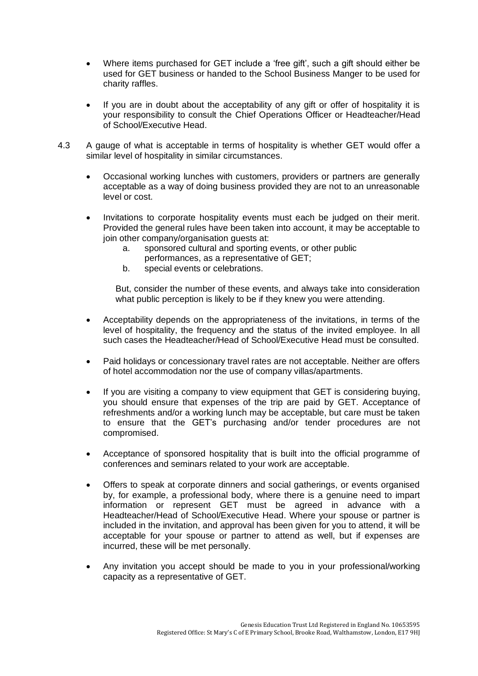- Where items purchased for GET include a 'free gift', such a gift should either be used for GET business or handed to the School Business Manger to be used for charity raffles.
- If you are in doubt about the acceptability of any gift or offer of hospitality it is your responsibility to consult the Chief Operations Officer or Headteacher/Head of School/Executive Head.
- 4.3 A gauge of what is acceptable in terms of hospitality is whether GET would offer a similar level of hospitality in similar circumstances.
	- Occasional working lunches with customers, providers or partners are generally acceptable as a way of doing business provided they are not to an unreasonable level or cost.
	- Invitations to corporate hospitality events must each be judged on their merit. Provided the general rules have been taken into account, it may be acceptable to join other company/organisation guests at:
		- a. sponsored cultural and sporting events, or other public performances, as a representative of GET;
		- b. special events or celebrations.

But, consider the number of these events, and always take into consideration what public perception is likely to be if they knew you were attending.

- Acceptability depends on the appropriateness of the invitations, in terms of the level of hospitality, the frequency and the status of the invited employee. In all such cases the Headteacher/Head of School/Executive Head must be consulted.
- Paid holidays or concessionary travel rates are not acceptable. Neither are offers of hotel accommodation nor the use of company villas/apartments.
- If you are visiting a company to view equipment that GET is considering buying, you should ensure that expenses of the trip are paid by GET. Acceptance of refreshments and/or a working lunch may be acceptable, but care must be taken to ensure that the GET's purchasing and/or tender procedures are not compromised.
- Acceptance of sponsored hospitality that is built into the official programme of conferences and seminars related to your work are acceptable.
- Offers to speak at corporate dinners and social gatherings, or events organised by, for example, a professional body, where there is a genuine need to impart information or represent GET must be agreed in advance with a Headteacher/Head of School/Executive Head. Where your spouse or partner is included in the invitation, and approval has been given for you to attend, it will be acceptable for your spouse or partner to attend as well, but if expenses are incurred, these will be met personally.
- Any invitation you accept should be made to you in your professional/working capacity as a representative of GET.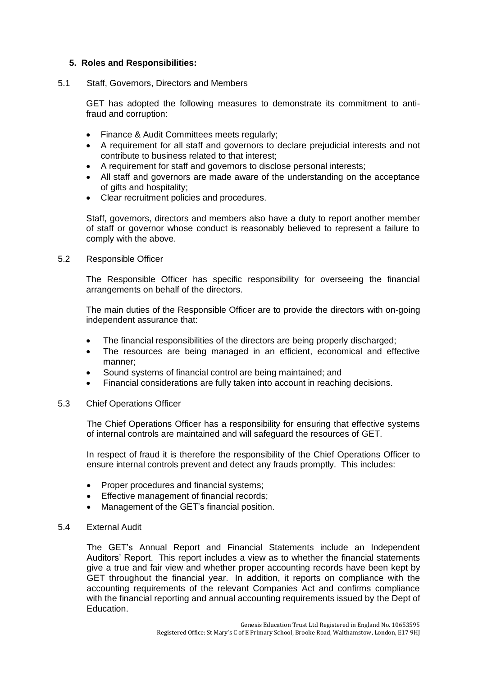#### **5. Roles and Responsibilities:**

#### 5.1 Staff, Governors, Directors and Members

GET has adopted the following measures to demonstrate its commitment to antifraud and corruption:

- Finance & Audit Committees meets regularly;
- A requirement for all staff and governors to declare prejudicial interests and not contribute to business related to that interest;
- A requirement for staff and governors to disclose personal interests;
- All staff and governors are made aware of the understanding on the acceptance of gifts and hospitality;
- Clear recruitment policies and procedures.

Staff, governors, directors and members also have a duty to report another member of staff or governor whose conduct is reasonably believed to represent a failure to comply with the above.

#### 5.2 Responsible Officer

The Responsible Officer has specific responsibility for overseeing the financial arrangements on behalf of the directors.

The main duties of the Responsible Officer are to provide the directors with on-going independent assurance that:

- The financial responsibilities of the directors are being properly discharged;
- The resources are being managed in an efficient, economical and effective manner;
- Sound systems of financial control are being maintained; and
- Financial considerations are fully taken into account in reaching decisions.

#### 5.3 Chief Operations Officer

The Chief Operations Officer has a responsibility for ensuring that effective systems of internal controls are maintained and will safeguard the resources of GET.

In respect of fraud it is therefore the responsibility of the Chief Operations Officer to ensure internal controls prevent and detect any frauds promptly. This includes:

- Proper procedures and financial systems;
- Effective management of financial records;
- Management of the GET's financial position.

#### 5.4 External Audit

The GET's Annual Report and Financial Statements include an Independent Auditors' Report. This report includes a view as to whether the financial statements give a true and fair view and whether proper accounting records have been kept by GET throughout the financial year. In addition, it reports on compliance with the accounting requirements of the relevant Companies Act and confirms compliance with the financial reporting and annual accounting requirements issued by the Dept of Education.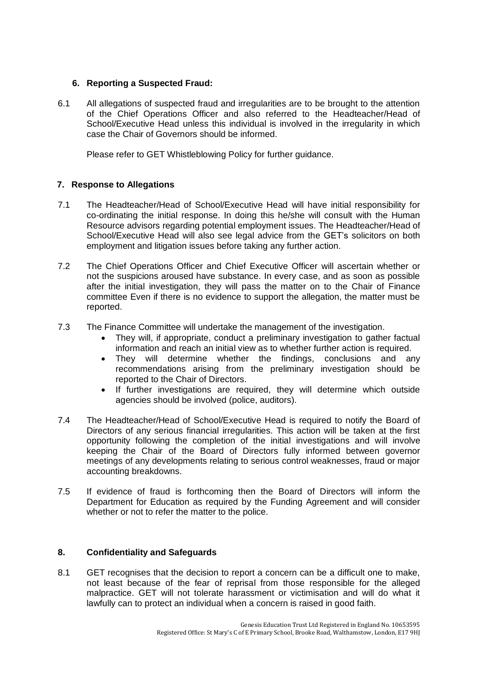# **6. Reporting a Suspected Fraud:**

6.1 All allegations of suspected fraud and irregularities are to be brought to the attention of the Chief Operations Officer and also referred to the Headteacher/Head of School/Executive Head unless this individual is involved in the irregularity in which case the Chair of Governors should be informed.

Please refer to GET Whistleblowing Policy for further guidance.

# **7. Response to Allegations**

- 7.1 The Headteacher/Head of School/Executive Head will have initial responsibility for co-ordinating the initial response. In doing this he/she will consult with the Human Resource advisors regarding potential employment issues. The Headteacher/Head of School/Executive Head will also see legal advice from the GET's solicitors on both employment and litigation issues before taking any further action.
- 7.2 The Chief Operations Officer and Chief Executive Officer will ascertain whether or not the suspicions aroused have substance. In every case, and as soon as possible after the initial investigation, they will pass the matter on to the Chair of Finance committee Even if there is no evidence to support the allegation, the matter must be reported.
- 7.3 The Finance Committee will undertake the management of the investigation.
	- They will, if appropriate, conduct a preliminary investigation to gather factual information and reach an initial view as to whether further action is required.
	- They will determine whether the findings, conclusions and any recommendations arising from the preliminary investigation should be reported to the Chair of Directors.
	- If further investigations are required, they will determine which outside agencies should be involved (police, auditors).
- 7.4 The Headteacher/Head of School/Executive Head is required to notify the Board of Directors of any serious financial irregularities. This action will be taken at the first opportunity following the completion of the initial investigations and will involve keeping the Chair of the Board of Directors fully informed between governor meetings of any developments relating to serious control weaknesses, fraud or major accounting breakdowns.
- 7.5 If evidence of fraud is forthcoming then the Board of Directors will inform the Department for Education as required by the Funding Agreement and will consider whether or not to refer the matter to the police.

# **8. Confidentiality and Safeguards**

8.1 GET recognises that the decision to report a concern can be a difficult one to make, not least because of the fear of reprisal from those responsible for the alleged malpractice. GET will not tolerate harassment or victimisation and will do what it lawfully can to protect an individual when a concern is raised in good faith.